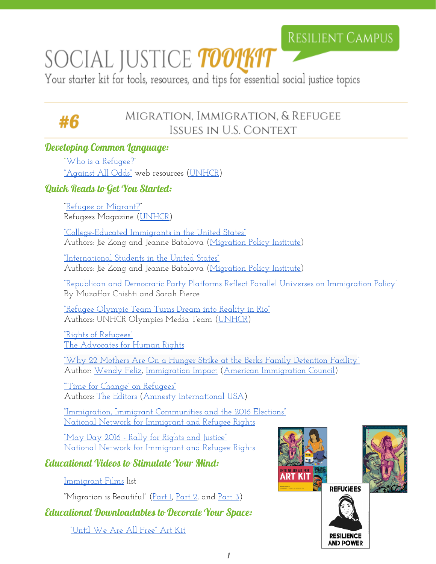### **RESILIENT CAMPUS**

# SOCIAL JUSTICE *toolkit*

Your starter kit for tools, resources, and tips for essential social justice topics

## #6

#### MIGRATION, IMMIGRATION, & REFUGEE ISSUES IN U.S. CONTEXT

#### Developing Common Language:

["Who is a Refugee?"](http://www.playagainstallodds.ca/factualweb/us/2.3/articles/Who_is_refugee.html) ["Against All Odds"](http://www.playagainstallodds.ca/) web resources [\(UNHCR\)](http://www.unhcr.org/en-us)

#### Quick Reads to Get You Started:

["Refugee or Migrant?"](http://www.unhcr.org/refmag/148/index.html) Refugees Magazine [\(UNHCR\)](http://www.unhcr.org/)

["College-Educated Immigrants in](http://www.migrationpolicy.org/article/college-educated-immigrants-united-states) the United States" Authors: Jie Zong and Jeanne Batalova [\(Migration](http://www.migrationpolicy.org/) Policy Institute)

["International Students in](http://www.migrationpolicy.org/article/international-students-united-states) the United States" Authors: Jie Zong and Jeanne Batalova [\(Migration](http://www.migrationpolicy.org/) Policy Institute)

"Republican and Democratic Party [Platforms Reflect Parallel Universes](http://www.migrationpolicy.org/article/republican-and-democratic-party-platforms-reflect-parallel-universes-immigration-policy) on Immigration Policy" By Muzaffar Chishti and Sarah Pierce

["Refugee Olympic Team](http://www.unhcr.org/en-us/news/latest/2016/8/57a9794c4/live-blog-refugee-olympic-team-turns-dreams-reality-rio.html) Turns Dream into Reality in Rio" Authors: UNHCR Olympics Media Team [\(UNHCR\)](http://www.unhcr.org/en-us/)

["Rights of Refugees"](http://www.theadvocatesforhumanrights.org/summer_2012_the_rights_of_refugees.html) [The Advocates for Human](http://www.theadvocatesforhumanrights.org/) Rights

["Why 22 Mothers Are](http://immigrationimpact.com/2016/08/15/mothers-hunger-strike-berks-family-detention-facility/) On a Hunger Strike at the Berks Family Detention Facilit[y"](http://immigrationimpact.com/2016/08/15/mothers-hunger-strike-berks-family-detention-facility/) Author: [Wendy Feliz,](http://immigrationimpact.com/author/wendy-sefsaf/) [Immigration](http://immigrationimpact.com/) Impact (American [Immigration](http://www.americanimmigrationcouncil.org/) Council)

<u>"Time for Change' on Refugees"</u> Authors: [The Editors](http://blog.amnestyusa.org/author/editors/) (Amnesty [International USA\)](http://www.amnestyusa.org/)

["Immigration, Immigrant Communities and](http://www.nnirr.org/drupal/immigrant-communities-elections) the 2016 Elections" [National Network for](http://www.nnirr.org/drupal/) Immigrant and Refugee Rights

["May Day 2016 - Rally](http://www.nnirr.org/drupal/May-Day-2016) for Rights and Justice" [National Network for](http://www.nnirr.org/drupal/) Immigrant and Refugee Rights

#### Educational Videos to Stimulate Your Mind:

[Immigrant Films](http://www.theadvocatesforhumanrights.org/immigration_films/) list

"Migration is Beautiful" (<u>Part 1, Part 2</u>, and <u>Part 3</u>)

Educational Downloadables to Decorate Your Space:

["Until We Are All Free"](http://www.culturestrike.org/project/%E2%80%9Cuntil-we-are-all-free%E2%80%9D-art-kit) Art Kit